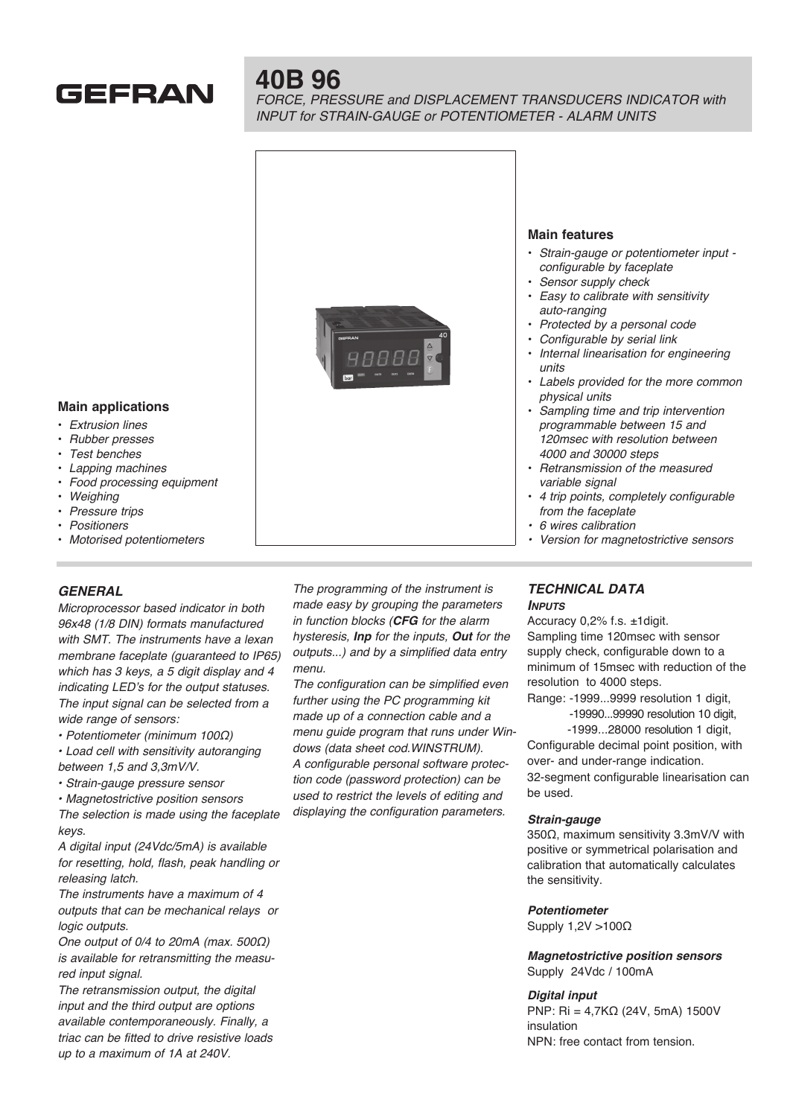

# **40B 96**

*FORCE, PRESSURE and DISPLACEMENT TRANSDUCERS INDICATOR with INPUT for STRAIN-GAUGE or POTENTIOMETER - ALARM UNITS*



# **Main applications**

- *Extrusion lines*
- *Rubber presses*
- *Test benches*
- *Lapping machines*
- *Food processing equipment*
- *Weighing*
- *Pressure trips*
- *Positioners*
- *Motorised potentiometers*

# *GENERAL*

*Microprocessor based indicator in both*  96x48 (1/8 DIN) formats manufactured *with SMT. The instruments have a lexan*  membrane faceplate (guaranteed to IP65) *which has 3 keys, a 5 digit display and 4 indicating LED's for the output statuses. The input signal can be selected from a wide range of sensors:*

• Potentiometer (minimum 100Ω)

- Load cell with sensitivity autoranging between 1,5 and 3,3mV/V.
- Strain-gauge pressure sensor
- Magnetostrictive position sensors

*The selection is made using the faceplate keys.*

A digital input (24Vdc/5mA) is available *for resetting, hold, flash, peak handling or releasing latch.*

*The instruments have a maximum of 4 outputs that can be mechanical relays or logic outputs.*

One output of 0/4 to 20mA (max. 500Ω) *is available for retransmitting the measured input signal.*

*The retransmission output, the digital input and the third output are options available contemporaneously. Finally, a triac can be fitted to drive resistive loads*  up to a maximum of 1A at 240V.

*The programming of the instrument is made easy by grouping the parameters*  in function blocks (*CFG for the alarm hysteresis, Inp for the inputs, Out for the*  outputs...) and by a simplified data entry *menu.*

*The configuration can be simplified even further using the PC programming kit made up of a connection cable and a menu guide program that runs under Win*dows (data sheet cod.WINSTRUM). *A configurable personal software protec*tion code (password protection) can be *used to restrict the levels of editing and displaying the configuration parameters.*

## *TECHNICAL DATA Inputs*

*from the faceplate* • 6 wires calibration

Accuracy 0,2% f.s. ±1digit. Sampling time 120msec with sensor supply check, configurable down to a minimum of 15msec with reduction of the resolution to 4000 steps.

Version for magnetostrictive sensors

Range: -1999...9999 resolution 1 digit,

 -19990...99990 resolution 10 digit, -1999...28000 resolution 1 digit,

Configurable decimal point position, with over- and under-range indication. 32-segment configurable linearisation can be used.

## *Strain-gauge*

350Ω, maximum sensitivity 3.3mV/V with positive or symmetrical polarisation and calibration that automatically calculates the sensitivity.

#### *Potentiometer*

Supply 1,2V >100Ω

*Magnetostrictive position sensors* Supply 24Vdc / 100mA

#### *Digital input*

PNP: Ri = 4,7KΩ (24V, 5mA) 1500V insulation NPN: free contact from tension.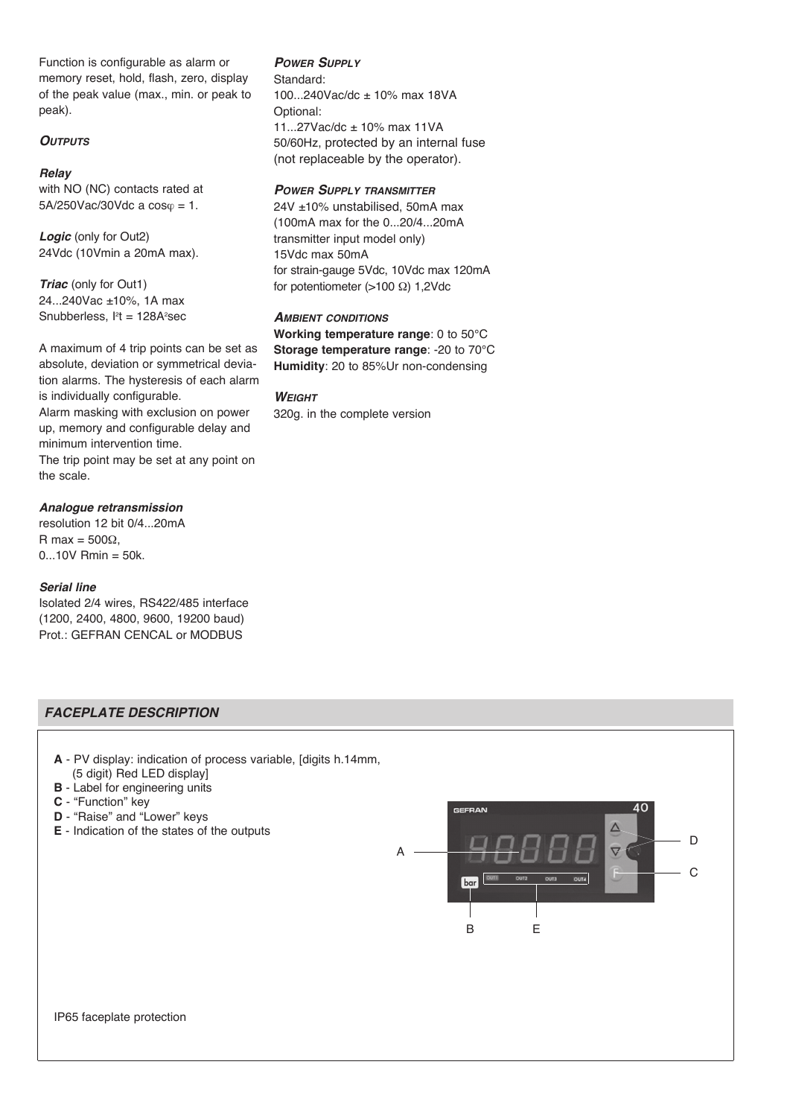Function is configurable as alarm or memory reset, hold, flash, zero, display of the peak value (max., min. or peak to peak).

# *Outputs*

#### *Relay*

with NO (NC) contacts rated at  $5A/250Vac/30Vdc$  a  $cos\varphi = 1$ .

*Logic* (only for Out2) 24Vdc (10Vmin a 20mA max).

*Triac* (only for Out1) 24...240Vac ±10%, 1A max Snubberless, l<del>'</del>t = 128A<del>'</del>sec

A maximum of 4 trip points can be set as absolute, deviation or symmetrical deviation alarms. The hysteresis of each alarm is individually configurable. Alarm masking with exclusion on power up, memory and configurable delay and minimum intervention time. The trip point may be set at any point on the scale.

#### *Analogue retransmission*

resolution 12 bit 0/4...20mA R max =  $500\Omega$ ,  $0...10V$  Rmin = 50k.

#### *Serial line*

Isolated 2/4 wires, RS422/485 interface (1200, 2400, 4800, 9600, 19200 baud) Prot.: GEFRAN CENCAL or MODBUS

## *Power Supply*

Standard: 100...240Vac/dc ± 10% max 18VA Optional: 11...27Vac/dc ± 10% max 11VA 50/60Hz, protected by an internal fuse (not replaceable by the operator).

## *Power Supply transmitter*

24V ±10% unstabilised, 50mA max (100mA max for the 0...20/4...20mA transmitter input model only) 15Vdc max 50mA for strain-gauge 5Vdc, 10Vdc max 120mA for potentiometer ( $>100 \Omega$ ) 1,2Vdc

## *Ambient conditions* **Working temperature range**: 0 to 50°C **Storage temperature range**: -20 to 70°C **Humidity**: 20 to 85%Ur non-condensing

#### *Weight*

320g. in the complete version

# *FACEPLATE DESCRIPTION*

- **A** PV display: indication of process variable, [digits h.14mm, (5 digit) Red LED display]
- **B** Label for engineering units
- **C** "Function" key
- **D** "Raise" and "Lower" keys
- **E** Indication of the states of the outputs

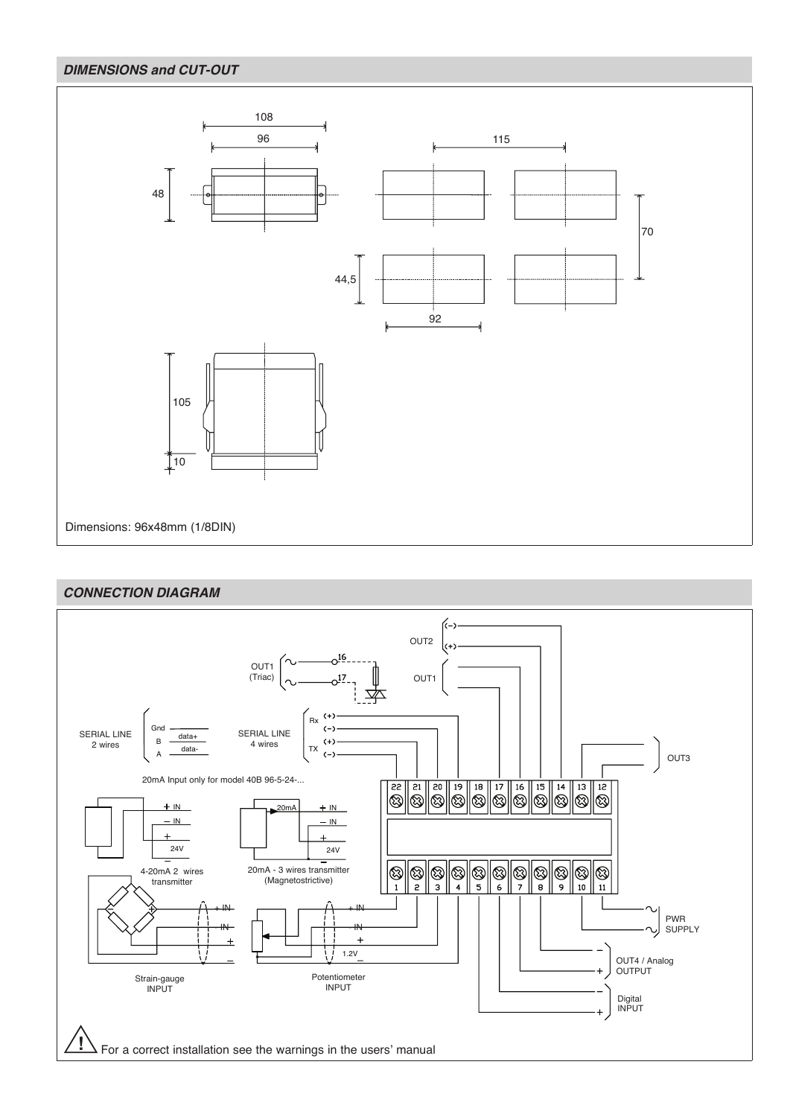# *DIMENSIONS and CUT-OUT*